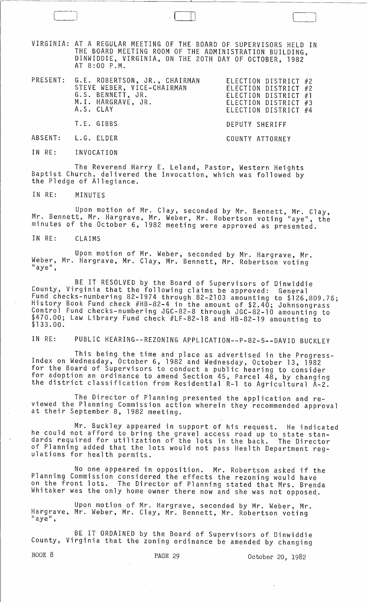VIRGINIA: AT A REGULAR MEETING OF THE BOARD OF SUPERVISORS HELD IN THE BOARD MEETING ROOM OF THE ADMINISTRATION BUILDING, DINWIDDIE, VIRGINIA, ON THE 20TH DAY OF OCTOBER, 1982 AT 8:00 P.M.

 $\Box$ 

|  | PRESENT: G.E. ROBERTSON, JR., CHAIRMAN<br>STEVE WEBER, VICE-CHAIRMAN<br>G.S. BENNETT, JR.<br>M.I. HARGRAVE, JR.<br>A.S. CLAY<br>$\label{eq:2.1} \mathcal{L}(\mathcal{L}^{\mathcal{L}}_{\mathcal{L}}(\mathcal{L}^{\mathcal{L}}_{\mathcal{L}})) = \mathcal{L}(\mathcal{L}^{\mathcal{L}}_{\mathcal{L}}(\mathcal{L}^{\mathcal{L}}_{\mathcal{L}})) = \mathcal{L}(\mathcal{L}^{\mathcal{L}}_{\mathcal{L}}(\mathcal{L}^{\mathcal{L}}_{\mathcal{L}})) = \mathcal{L}(\mathcal{L}^{\mathcal{L}}_{\mathcal{L}}(\mathcal{L}^{\mathcal{L}}_{\mathcal{L}}))$ | ELECTION DISTRICT #2<br>ELECTION DISTRICT #2<br>ELECTION DISTRICT #1<br>ELECTION DISTRICT #3<br>ELECTION DISTRICT #4 |
|--|------------------------------------------------------------------------------------------------------------------------------------------------------------------------------------------------------------------------------------------------------------------------------------------------------------------------------------------------------------------------------------------------------------------------------------------------------------------------------------------------------------------------------------------------|----------------------------------------------------------------------------------------------------------------------|
|  | T.E. GIBBS                                                                                                                                                                                                                                                                                                                                                                                                                                                                                                                                     | DEPUTY SHERIFF                                                                                                       |
|  | ABSENT: L.G. ELDER                                                                                                                                                                                                                                                                                                                                                                                                                                                                                                                             | COUNTY ATTORNEY                                                                                                      |

IN RE: INVOCATION

The Reverend Harry E. Leland, Pastor, Western Heights Baptist Church, delivered the Invocation, which was followed by the Pledge of Allegiance.

IN RE: MINUTES

Upon motion of Mr. Clay, seconded by Mr. Bennett, Mr. Clay, Mr. Bennett, Mr. Hargrave, Mr. Weber, Mr. Robertson voting "aye", the minutes of the October 6, 1982 meeting were approved as presented.

IN RE: CLAIMS

Upon motion of Mr. Weber, seconded by Mr. Hargrave, Mr. Weber, Mr. Hargrave, Mr. Clay, Mr. Bennett, Mr. Robertson voting<br>"aye",

BE IT RESOLVED by the Board of Supervisors of Dinwiddie County, Virginia that the following claims be approved: General Fund checks-numbering 82-1974 through 82-2103 amounting to \$126,809.76; History Book Fund check #HB-82-4 in the amount of \$2.40; Johnsongrass Control Fund checks-numbering JGC-82-8 through JGC-82-10 amounting to \$470.00; Law Library Fund check #LF-82-18 and HB-82-19 amounting to \$133.00.

IN RE: PUBLIC HEARING--REZONING APPLICATION--P-82-5--DAVID BUCKLEY

This being the time and place as advertised in the Progress- Index on Wednesday, October 6, 1982 and Wednesday, October 13, 1982 for the Board of Supervisors to conduct a public hearing to consider for adoption an ordinance to amend Section 45, Parcel 48, by changing the district classification from Residential R-1 to Agricultural A-2.

The Director of Planning presented the application and reviewed the Planning Commission action wherein they recommended approval at their September 8, 1982 meeting.

Mr. Buckley appeared in support of his request. He indicated he could not afford to bring the gravel access road up to state standards required for utilization of the lots in the back. The Director of Planning added that the lots would not pass Health Department reg- ulations for health permits.

No one appeared in opposition. Mr. Robertson asked if the Planning Commission considered the effects the rezoning would have on the front lots. The Director of Planning stated that Mrs. Brenda Whitaker was the only home owner there now and she was not opposed.

Upon motion of Mr. Hargrave, seconded by Mr. Weber, Mr. Hargrave, Mr. Weber, Mr. Clay, Mr. Bennett, Mr. Robertson voting<br>"aye",

BE IT ORDAINED by the Board of Supervisors of Dinwiddie County, Virginia that the zoning ordinance be amended by changing

*BOOK 8* PAGE 29 October 20, 1982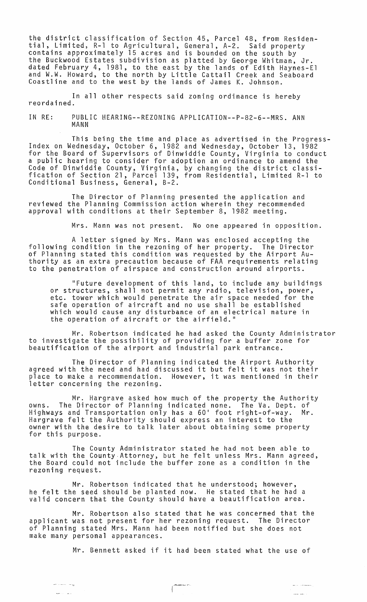the district classification of Section 45, Parcel 48, from Residential, Limited, R-l to Agricultural, General, A-2. Said property contains approximately 15 acres and is bounded on the south by the Buckwood Estates subdivision as platted by George Whitman, Jr. dated February 4, 1981, to the east by the lands of Edith Haynes-El and W.W. Howard, to the north by Little Cattail Creek and Seaboard Coastline and to the west by the lands of James K. Johnson.

In all other respects said zoning ordinance is hereby reordained.

IN RE: PUBLIC HEARING--REZONING APPLICATION--P-82-6--MRS. ANN MANN

This being the time and place as advertised in the Progress- Index on Wednesday, October 6, 1982 and Wednesday, October 13, 1982 for the Board of Supervisors of Dinwiddie County, Virginia to conduct a public hearing to consider for adoption an ordinance to amend the Code of Dinwiddie County, Virginia, by changing the district classification of Section 21, Parcel 139, from Residential, Limited R-l to Conditional Business, General, B-2.

The Director of Planning presented the application and reviewed the Planning Commission action wherein they recommended approval with conditions at their September 8, 1982 meeting.

Mrs. Mann was not present. No one appeared in opposition.

A letter signed by Mrs. Mann was enclosed accepting the following condition in the rezoning of her property. The Director of Planning stated this condition was requested by the Airport Authority as an extra precaution because of FAA requirements relating to the penetration of airspace and construction around airports.

"Future development of this land, to include any buildings or structures, shall not permit any radio, television, power, etc. tower which would penetrate the air space needed for the safe operation of aircraft and no use shall be established which would cause any disturbance of an electrical nature in the operation of aircraft or the airfield."

Mr. Robertson indicated he had asked the County Administrator to investigate the possibility of providing for a buffer zone for beautification of the airport and industrial park entrance.

The Director of Planning indicated the Airport Authority agreed with the need and had discussed it but felt it was not their place to make a recommendation. However, it was mentioned in their letter concerning the rezoning.

Mr. Hargrave asked how much of the property the Authority owns. The Director of Planning indicated none. The Va. Dept. of Highways and Transportation only has a 60' foot right-of-way. Mr. Hargrave felt the Authority should express an interest to the owner with the desire to talk later about obtaining some property for this purpose.

The County Administrator stated he had not been able to talk with the County Attorney, but he felt unless Mrs. Mann agreed, the Board could not include the buffer zone as a condition in the rezoning request.

Mr. Robertson indicated that he understood; however, he felt the seed should be planted now. He stated that he had a valid concern that the County should have a beautification area.

Mr. Robertson also stated that he was concerned that the applicant was not present for her rezoning request. The Director of Planning stated Mrs. Mann had been notified but she does not make many personal appearances.

ليست المتعاملات وأبوار والمتوا

Mr. Bennett asked if it had been stated what the use of

 $\mathbf{r} = \mathbf{r} \cdot \mathbf{r}$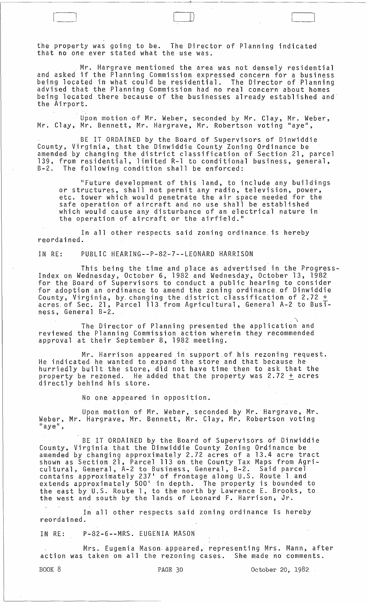the property was going to be. The Director of Planning indicated that no one ever stated what the use was.

Mr. Hargrave mentioned the area was not densely residential and asked if the Planning Commission expressed concern for a business being located in what could be residential. The Director of Planning advised that the Planning Commission had no real concern about homes being located there because of the businesses already established and the Airport.

 $\Box$ 

Upon motion ·of Mr. Weber, seconded by Mr. Clay, Mr. Weber, Mr. Clay, Mr. Bennett, Mr. Hargrave, Mr. Robertson voting "aye",

BE IT ORDAINED by the Board of Supervisors of Dinwiddie County, Virginia, that the Dinwiddie County Zoning Ordinance be amended by changing the district classification of Section 21, parcel 139, from residential, limited R-l to conditional business, general, B-2. The following condition shall be enforced:

"Future development of this land, to include any buildings or structures, shall not permit any radio, television, power, etc. tower which would penetrate the air space needed for the safe operation of aircraft and no use shall be established which would cause any disturbance of an electrical nature in the operation of aircraft or the airfield."

In all other respects said zoning ordinance. is hereby reordained.

IN RE: PUBLIC HEARING--P-82-7--LEONARD HARRISON

This being the time and place as advertised in the Progress-Index on Wednesday, October 6, 1982 and Wednesday~ October 13, 1982 for the Board of Supervisors to conduct a public hearing to consider for adoption an ordinance to amend the zoning ordinance of Dinwiddie County, Virginia, by changing the district classification of  $2.72 +$ acres. of Sec. 21, Parcel 113. from Agricultural, General A-2 to Business, General B-2.

The Director of Planning presented the application and reviewed the Planning Commission action wherein they recommended approval at their September 8, 1982 meeting.

Mr. Harrison appeared in support.of his rezoning request. He indicated he wanted to expand the store and that because he hurriedly built the store, did not have time then to ask that the property be rezoned. He added that the property was 2.72 + acres directly behind his store.

No one appeared in opposition.

Upon motion of Mr. Weber, seconded by Mr. Hargrave, Mr. Weber, Mr. Hargrave, Mr. Bennett, Mr. Clay, Mr. Robertson voting<br>"aye",

BE IT ORDAINED by the Board of Supervisors of Dinwiddie County, Virginia that the Dinwiddie County Zoning Ordinance be amended by changing approximately 2.72 acres of a 13.4 acre tract shown as Section 21, Parcel 113 on the County Tax Maps from Agri-<br>cultural, General, A-2 to Business, General, B-2. Said parcel contains approximately 237' of frontage along U.S. Route 1 and extends approximately 500' in depth. The property is bounded to the east by U.S. Route 1, to the north by Lawrence E. Brooks, to the east by o.s. Roade 1, to the notion by Lamience 2. Brook

In all other respects said zoning ordinance is hereby reordained.

IN RE: P-82-6--MRS. EUGENIA MASON

Mrs. Eugenia Mason appeared, representing Mrs. Mann, after action was taken on all the rezoning cases. She made no comments.